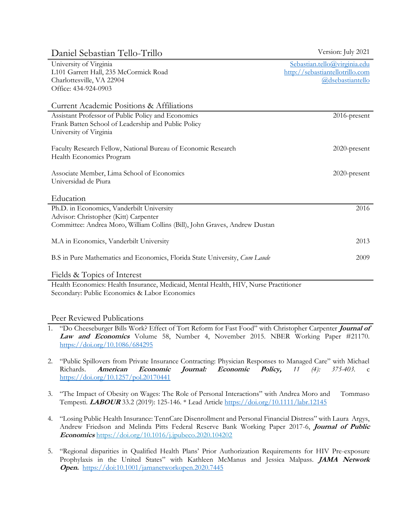| Daniel Sebastian Tello-Trillo                                                                                                                                    | Version: July 2021                                                                  |
|------------------------------------------------------------------------------------------------------------------------------------------------------------------|-------------------------------------------------------------------------------------|
| University of Virginia<br>L101 Garrett Hall, 235 McCormick Road<br>Charlottesville, VA 22904<br>Office: 434-924-0903                                             | Sebastian.tello@virginia.edu<br>http://sebastiantellotrillo.com<br>@dsebastiantello |
| Current Academic Positions & Affiliations                                                                                                                        |                                                                                     |
| Assistant Professor of Public Policy and Economics<br>Frank Batten School of Leadership and Public Policy<br>University of Virginia                              | $2016$ -present                                                                     |
| Faculty Research Fellow, National Bureau of Economic Research<br>Health Economics Program                                                                        | 2020-present                                                                        |
| Associate Member, Lima School of Economics<br>Universidad de Piura                                                                                               | $2020$ -present                                                                     |
| Education                                                                                                                                                        |                                                                                     |
| Ph.D. in Economics, Vanderbilt University<br>Advisor: Christopher (Kitt) Carpenter<br>Committee: Andrea Moro, William Collins (Bill), John Graves, Andrew Dustan | 2016                                                                                |
| M.A in Economics, Vanderbilt University                                                                                                                          | 2013                                                                                |
| B.S in Pure Mathematics and Economics, Florida State University, Cum Laude                                                                                       | 2009                                                                                |
| Fields & Topics of Interest                                                                                                                                      |                                                                                     |

Health Economics: Health Insurance, Medicaid, Mental Health, HIV, Nurse Practitioner Secondary: Public Economics & Labor Economics

## Peer Reviewed Publications

- 1. "Do Cheeseburger Bills Work? Effect of Tort Reform for Fast Food" with Christopher Carpenter **Journal of Law and Economics** Volume 58, Number 4, November 2015. NBER Working Paper #21170. <https://doi.org/10.1086/684295>
- 2. "Public Spillovers from Private Insurance Contracting: Physician Responses to Managed Care" with Michael Richards. **American Economic Journal: Economic Policy,** *11 (4): 375-403.* c <https://doi.org/10.1257/pol.20170441>
- 3. "The Impact of Obesity on Wages: The Role of Personal Interactions" with Andrea Moro and Tommaso Tempesti. **LABOUR** 33.2 (2019): 125-146. \* Lead Article<https://doi.org/10.1111/labr.12145>
- 4. "Losing Public Health Insurance: TennCare Disenrollment and Personal Financial Distress" with Laura Argys, Andrew Friedson and Melinda Pitts Federal Reserve Bank Working Paper 2017-6, **Journal of Public Economics** <https://doi.org/10.1016/j.jpubeco.2020.104202>
- 5. "Regional disparities in Qualified Health Plans' Prior Authorization Requirements for HIV Pre-exposure Prophylaxis in the United States" with Kathleen McManus and Jessica Malpass. **JAMA Network Open.** <https://doi:10.1001/jamanetworkopen.2020.7445>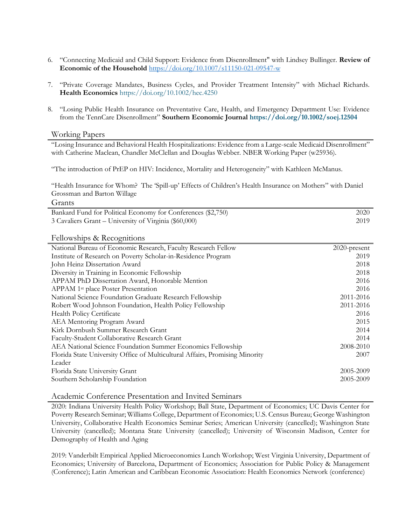- 6. "Connecting Medicaid and Child Support: Evidence from Disenrollment" with Lindsey Bullinger. **Review of Economic of the Household** <https://doi.org/10.1007/s11150-021-09547-w>
- 7. "Private Coverage Mandates, Business Cycles, and Provider Treatment Intensity" with Michael Richards. **Health Economics** <https://doi.org/10.1002/hec.4250>
- 8. "Losing Public Health Insurance on Preventative Care, Health, and Emergency Department Use: Evidence from the TennCare Disenrollment" **Southern Economic Journal <https://doi.org/10.1002/soej.12504>**

#### Working Papers

"Losing Insurance and Behavioral Health Hospitalizations: Evidence from a Large-scale Medicaid Disenrollment" with Catherine Maclean, Chandler McClellan and Douglas Webber. NBER Working Paper (w25936).

"The introduction of PrEP on HIV: Incidence, Mortality and Heterogeneity" with Kathleen McManus.

"Health Insurance for Whom? The 'Spill-up' Effects of Children's Health Insurance on Mothers" with Daniel Grossman and Barton Willage

#### Grants

| Bankard Fund for Political Economy for Conferences (\$2,750) | 2020  |
|--------------------------------------------------------------|-------|
| 3 Cavaliers Grant – University of Virginia (\$60,000)        | 2019. |

#### Fellowships & Recognitions

| National Bureau of Economic Research, Faculty Research Fellow                | 2020-present |
|------------------------------------------------------------------------------|--------------|
| Institute of Research on Poverty Scholar-in-Residence Program                | 2019         |
| John Heinz Dissertation Award                                                | 2018         |
| Diversity in Training in Economic Fellowship                                 | 2018         |
| APPAM PhD Dissertation Award, Honorable Mention                              | 2016         |
| APPAM 1 <sup>st</sup> place Poster Presentation                              | 2016         |
| National Science Foundation Graduate Research Fellowship                     | 2011-2016    |
| Robert Wood Johnson Foundation, Health Policy Fellowship                     | 2011-2016    |
| <b>Health Policy Certificate</b>                                             | 2016         |
| AEA Mentoring Program Award                                                  | 2015         |
| Kirk Dornbush Summer Research Grant                                          | 2014         |
| Faculty-Student Collaborative Research Grant                                 | 2014         |
| AEA National Science Foundation Summer Economics Fellowship                  | 2008-2010    |
| Florida State University Office of Multicultural Affairs, Promising Minority | 2007         |
| Leader                                                                       |              |
| Florida State University Grant                                               | 2005-2009    |
| Southern Scholarship Foundation                                              | 2005-2009    |

Academic Conference Presentation and Invited Seminars

2020: Indiana University Health Policy Workshop; Ball State, Department of Economics; UC Davis Center for Poverty Research Seminar; Williams College, Department of Economics; U.S. Census Bureau; George Washington University, Collaborative Health Economics Seminar Series; American University (cancelled); Washington State University (cancelled); Montana State University (cancelled); University of Wisconsin Madison, Center for Demography of Health and Aging

2019: Vanderbilt Empirical Applied Microeconomics Lunch Workshop; West Virginia University, Department of Economics; University of Barcelona, Department of Economics; Association for Public Policy & Management (Conference); Latin American and Caribbean Economic Association: Health Economics Network (conference)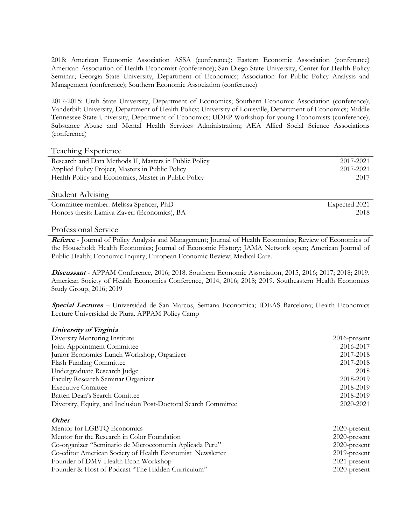2018: American Economic Association ASSA (conference); Eastern Economic Association (conference) American Association of Health Economist (conference); San Diego State University, Center for Health Policy Seminar; Georgia State University, Department of Economics; Association for Public Policy Analysis and Management (conference); Southern Economic Association (conference)

2017-2015: Utah State University, Department of Economics; Southern Economic Association (conference); Vanderbilt University, Department of Health Policy; University of Louisville, Department of Economics; Middle Tennessee State University, Department of Economics; UDEP Workshop for young Economists (conference); Substance Abuse and Mental Health Services Administration; AEA Allied Social Science Associations (conference)

### Teaching Experience

| Research and Data Methods II, Masters in Public Policy | 2017-2021 |
|--------------------------------------------------------|-----------|
| Applied Policy Project, Masters in Public Policy       | 2017-2021 |
| Health Policy and Economics, Master in Public Policy   | 2017      |
|                                                        |           |
|                                                        |           |

#### Student Advising

| Committee member. Melissa Spencer, PhD       | Expected 2021 |
|----------------------------------------------|---------------|
| Honors thesis: Lamiya Zaveri (Economics), BA | 2018-         |

### Professional Service

**Referee** - Journal of Policy Analysis and Management; Journal of Health Economics; Review of Economics of the Household; Health Economics; Journal of Economic History; JAMA Network open; American Journal of Public Health; Economic Inquiry; European Economic Review; Medical Care.

**Discussant** - APPAM Conference, 2016; 2018. Southern Economic Association, 2015, 2016; 2017; 2018; 2019. American Society of Health Economics Conference, 2014, 2016; 2018; 2019. Southeastern Health Economics Study Group, 2016; 2019

**Special Lectures** – Universidad de San Marcos, Semana Economica; IDEAS Barcelona; Health Economics Lecture Universidad de Piura. APPAM Policy Camp

| University of Virginia                                          |                 |
|-----------------------------------------------------------------|-----------------|
| Diversity Mentoring Institute                                   | $2016$ -present |
| Joint Appointment Committee                                     | 2016-2017       |
| Junior Economics Lunch Workshop, Organizer                      | 2017-2018       |
| Flash Funding Committee                                         | 2017-2018       |
| Undergraduate Research Judge                                    | 2018            |
| Faculty Research Seminar Organizer                              | 2018-2019       |
| <b>Executive Comittee</b>                                       | 2018-2019       |
| Batten Dean's Search Comittee                                   | 2018-2019       |
| Diversity, Equity, and Inclusion Post-Doctoral Search Committee | 2020-2021       |
| Other                                                           |                 |
| Mentor for LGBTQ Economics                                      | $2020$ -present |
| Mentor for the Research in Color Foundation                     | 2020-present    |
| Co-organizer "Seminario de Microeconomia Aplicada Peru"         | 2020-present    |
| Co-editor American Society of Health Economist Newsletter       | $2019$ -present |
| Founder of DMV Health Econ Workshop                             | $2021$ -present |

Founder & Host of Podcast "The Hidden Curriculum" 2020-present